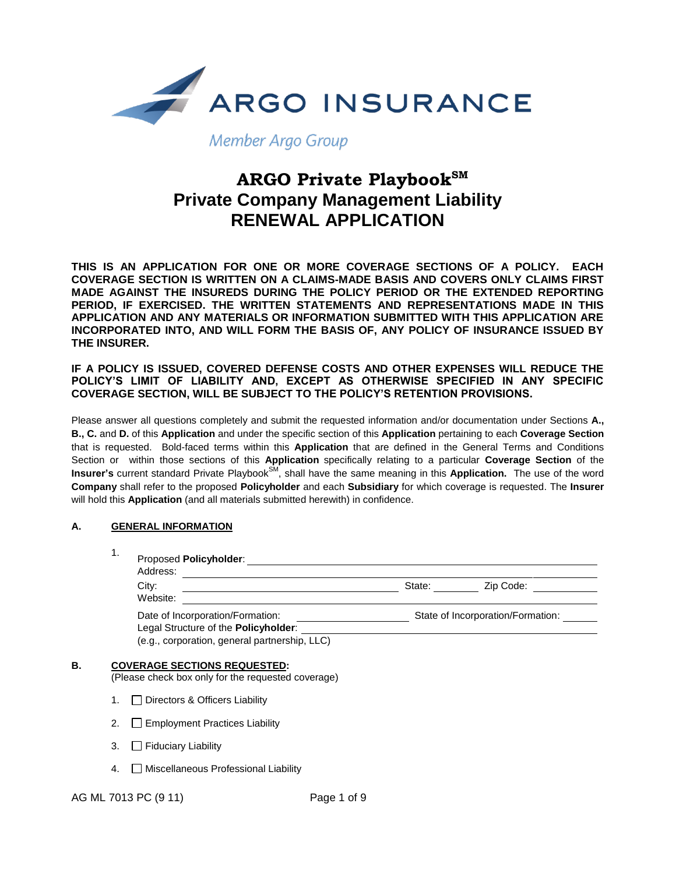

**Member Argo Group** 

# **ARGO Private PlaybookSM Private Company Management Liability RENEWAL APPLICATION**

**THIS IS AN APPLICATION FOR ONE OR MORE COVERAGE SECTIONS OF A POLICY. EACH COVERAGE SECTION IS WRITTEN ON A CLAIMS-MADE BASIS AND COVERS ONLY CLAIMS FIRST MADE AGAINST THE INSUREDS DURING THE POLICY PERIOD OR THE EXTENDED REPORTING PERIOD, IF EXERCISED. THE WRITTEN STATEMENTS AND REPRESENTATIONS MADE IN THIS APPLICATION AND ANY MATERIALS OR INFORMATION SUBMITTED WITH THIS APPLICATION ARE INCORPORATED INTO, AND WILL FORM THE BASIS OF, ANY POLICY OF INSURANCE ISSUED BY THE INSURER.** 

**IF A POLICY IS ISSUED, COVERED DEFENSE COSTS AND OTHER EXPENSES WILL REDUCE THE POLICY'S LIMIT OF LIABILITY AND, EXCEPT AS OTHERWISE SPECIFIED IN ANY SPECIFIC COVERAGE SECTION, WILL BE SUBJECT TO THE POLICY'S RETENTION PROVISIONS.**

Please answer all questions completely and submit the requested information and/or documentation under Sections **A., B., C.** and **D.** of this **Application** and under the specific section of this **Application** pertaining to each **Coverage Section** that is requested. Bold-faced terms within this **Application** that are defined in the General Terms and Conditions Section or within those sections of this **Application** specifically relating to a particular **Coverage Section** of the Insurer's current standard Private Playbook<sup>SM</sup>, shall have the same meaning in this Application. The use of the word **Company** shall refer to the proposed **Policyholder** and each **Subsidiary** for which coverage is requested. The **Insurer**  will hold this **Application** (and all materials submitted herewith) in confidence.

## **A. GENERAL INFORMATION**

| 1. | Proposed Policyholder:<br>Address:                                                                                        |        |                                   |  |  |
|----|---------------------------------------------------------------------------------------------------------------------------|--------|-----------------------------------|--|--|
|    | City:<br>Website:                                                                                                         | State: | Zip Code:                         |  |  |
|    | Date of Incorporation/Formation:<br>Legal Structure of the Policyholder:<br>(e.g., corporation, general partnership, LLC) |        | State of Incorporation/Formation: |  |  |
|    | <b>COVERAGE SECTIONS REQUESTED:</b><br>(Please check box only for the requested coverage)                                 |        |                                   |  |  |
| 1. | Directors & Officers Liability                                                                                            |        |                                   |  |  |
| 2. | <b>Employment Practices Liability</b>                                                                                     |        |                                   |  |  |
| 3. | <b>Fiduciary Liability</b>                                                                                                |        |                                   |  |  |
| 4. | Miscellaneous Professional Liability                                                                                      |        |                                   |  |  |
|    |                                                                                                                           |        |                                   |  |  |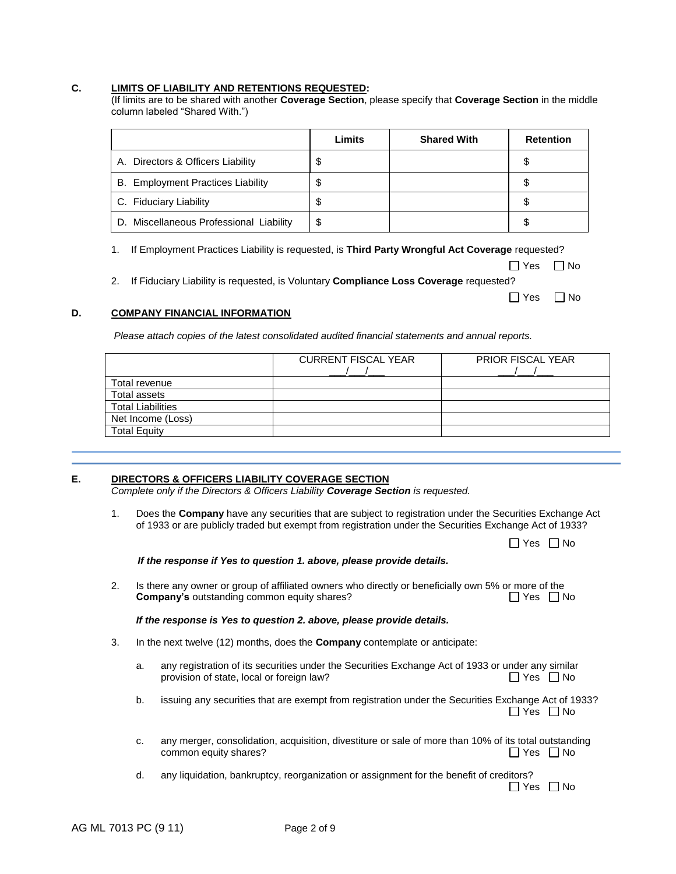## **C. LIMITS OF LIABILITY AND RETENTIONS REQUESTED:**

|                                | (If limits are to be shared with another Coverage Section, please specify that Coverage Section in the middle |  |
|--------------------------------|---------------------------------------------------------------------------------------------------------------|--|
| column labeled "Shared With.") |                                                                                                               |  |

|                                          | Limits | <b>Shared With</b> | <b>Retention</b> |
|------------------------------------------|--------|--------------------|------------------|
| A. Directors & Officers Liability        | \$     |                    |                  |
| <b>B.</b> Employment Practices Liability | \$     |                    |                  |
| C. Fiduciary Liability                   | Ψ      |                    |                  |
| D. Miscellaneous Professional Liability  | \$     |                    |                  |

1. If Employment Practices Liability is requested, is **Third Party Wrongful Act Coverage** requested?

| Yes | N٥ |
|-----|----|
|-----|----|

2. If Fiduciary Liability is requested, is Voluntary **Compliance Loss Coverage** requested?

| Yes | No |
|-----|----|
|-----|----|

## **D. COMPANY FINANCIAL INFORMATION**

*Please attach copies of the latest consolidated audited financial statements and annual reports.*

|                          | <b>CURRENT FISCAL YEAR</b> | <b>PRIOR FISCAL YEAR</b> |
|--------------------------|----------------------------|--------------------------|
|                          |                            |                          |
| Total revenue            |                            |                          |
| Total assets             |                            |                          |
| <b>Total Liabilities</b> |                            |                          |
| Net Income (Loss)        |                            |                          |
| <b>Total Equity</b>      |                            |                          |
|                          |                            |                          |

## **E. DIRECTORS & OFFICERS LIABILITY COVERAGE SECTION**

*Complete only if the Directors & Officers Liability Coverage Section is requested.* 

1. Does the **Company** have any securities that are subject to registration under the Securities Exchange Act of 1933 or are publicly traded but exempt from registration under the Securities Exchange Act of 1933?

|  | $\Box$ Yes $\Box$ No |  |
|--|----------------------|--|
|--|----------------------|--|

*If the response if Yes to question 1. above, please provide details.* 

2. Is there any owner or group of affiliated owners who directly or beneficially own 5% or more of the **Company's** outstanding common equity shares?  $□$  Yes  $□$  Yes  $□$  No

#### *If the response is Yes to question 2. above, please provide details.*

- 3. In the next twelve (12) months, does the **Company** contemplate or anticipate:
	- a. any registration of its securities under the Securities Exchange Act of 1933 or under any similar provision of state, local or foreign law?  $\Box$  Yes  $\Box$  No
	- b. issuing any securities that are exempt from registration under the Securities Exchange Act of 1933?  $\Box$  Yes  $\Box$  No
	- c. any merger, consolidation, acquisition, divestiture or sale of more than 10% of its total outstanding common equity shares?  $\square$  No common equity shares?

d. any liquidation, bankruptcy, reorganization or assignment for the benefit of creditors?  $\Box$  Yes  $\Box$  No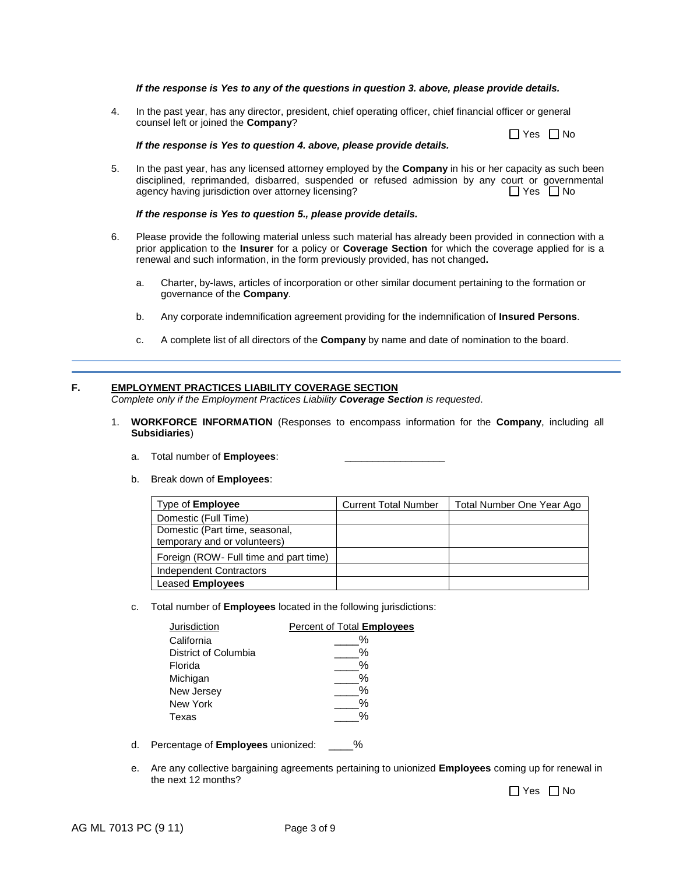#### *If the response is Yes to any of the questions in question 3. above, please provide details.*

4. In the past year, has any director, president, chief operating officer, chief financial officer or general counsel left or joined the **Company**?  $\Box$  Yes  $\Box$  No

*If the response is Yes to question 4. above, please provide details.*

5. In the past year, has any licensed attorney employed by the **Company** in his or her capacity as such been disciplined, reprimanded, disbarred, suspended or refused admission by any court or governmental agency having jurisdiction over attorney licensing? agency having jurisdiction over attorney licensing?

#### *If the response is Yes to question 5., please provide details.*

- 6. Please provide the following material unless such material has already been provided in connection with a prior application to the **Insurer** for a policy or **Coverage Section** for which the coverage applied for is a renewal and such information, in the form previously provided, has not changed**.**
	- a. Charter, by-laws, articles of incorporation or other similar document pertaining to the formation or governance of the **Company**.
	- b. Any corporate indemnification agreement providing for the indemnification of **Insured Persons**.
	- c. A complete list of all directors of the **Company** by name and date of nomination to the board.

### **F. EMPLOYMENT PRACTICES LIABILITY COVERAGE SECTION**

*Complete only if the Employment Practices Liability Coverage Section is requested*.

- 1. **WORKFORCE INFORMATION** (Responses to encompass information for the **Company**, including all **Subsidiaries**)
	- a. Total number of **Employees**:
	- b. Break down of **Employees**:

| Type of <b>Employee</b>                                        | <b>Current Total Number</b> | Total Number One Year Ago |
|----------------------------------------------------------------|-----------------------------|---------------------------|
| Domestic (Full Time)                                           |                             |                           |
| Domestic (Part time, seasonal,<br>temporary and or volunteers) |                             |                           |
| Foreign (ROW- Full time and part time)                         |                             |                           |
| <b>Independent Contractors</b>                                 |                             |                           |
| <b>Leased Employees</b>                                        |                             |                           |

c. Total number of **Employees** located in the following jurisdictions:

| Jurisdiction         | <b>Percent of Total Employees</b> |
|----------------------|-----------------------------------|
| California           | %                                 |
| District of Columbia | ℅                                 |
| Florida              | $\%$                              |
| Michigan             | ℅                                 |
| New Jersey           | %                                 |
| New York             | %                                 |
| Texas                | %                                 |
|                      |                                   |

- d. Percentage of **Employees** unionized: \_\_\_\_%
- e. Are any collective bargaining agreements pertaining to unionized **Employees** coming up for renewal in the next 12 months?

 $\Box$  Yes  $\Box$  No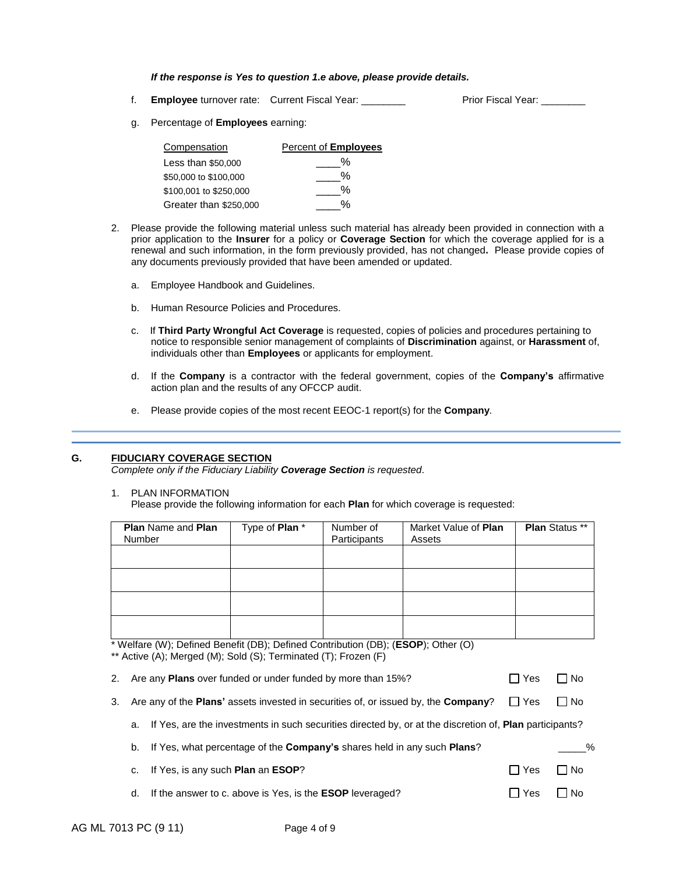#### *If the response is Yes to question 1.e above, please provide details.*

f. **Employee** turnover rate: Current Fiscal Year: \_\_\_\_\_\_\_\_ Prior Fiscal Year: \_\_\_\_\_\_\_\_

g. Percentage of **Employees** earning:

| Compensation           | Percent of <b>Employees</b> |
|------------------------|-----------------------------|
| Less than \$50,000     | %                           |
| \$50,000 to \$100,000  | %                           |
| \$100,001 to \$250,000 | %                           |
| Greater than \$250,000 |                             |

- 2. Please provide the following material unless such material has already been provided in connection with a prior application to the **Insurer** for a policy or **Coverage Section** for which the coverage applied for is a renewal and such information, in the form previously provided, has not changed**.** Please provide copies of any documents previously provided that have been amended or updated.
	- a. Employee Handbook and Guidelines.
	- b. Human Resource Policies and Procedures.
	- c. If **Third Party Wrongful Act Coverage** is requested, copies of policies and procedures pertaining to notice to responsible senior management of complaints of **Discrimination** against, or **Harassment** of, individuals other than **Employees** or applicants for employment.
	- d. If the **Company** is a contractor with the federal government, copies of the **Company's** affirmative action plan and the results of any OFCCP audit.
	- e. Please provide copies of the most recent EEOC-1 report(s) for the **Company**.

### **G. FIDUCIARY COVERAGE SECTION**

*Complete only if the Fiduciary Liability Coverage Section is requested*.

1. PLAN INFORMATION

Please provide the following information for each **Plan** for which coverage is requested:

| <b>Plan Name and Plan</b><br>Number | Type of Plan * | Number of<br>Participants | Market Value of Plan<br>Assets | <b>Plan Status **</b> |
|-------------------------------------|----------------|---------------------------|--------------------------------|-----------------------|
|                                     |                |                           |                                |                       |
|                                     |                |                           |                                |                       |
|                                     |                |                           |                                |                       |
|                                     |                |                           |                                |                       |

\* Welfare (W); Defined Benefit (DB); Defined Contribution (DB); (**ESOP**); Other (O)

\*\* Active (A); Merged (M); Sold (S); Terminated (T); Frozen (F)

|  | 2. Are any <b>Plans</b> over funded or under funded by more than 15%? | $\Box$ Yes $\Box$ No |  |
|--|-----------------------------------------------------------------------|----------------------|--|
|--|-----------------------------------------------------------------------|----------------------|--|

- 3. Are any of the **Plans'** assets invested in securities of, or issued by, the **Company**?  $\Box$  Yes  $\Box$  No
	- a. If Yes, are the investments in such securities directed by, or at the discretion of, **Plan** participants?

| b. If Yes, what percentage of the <b>Company's</b> shares held in any such <b>Plans</b> ? |            | % |
|-------------------------------------------------------------------------------------------|------------|---|
| c. If Yes, is any such <b>Plan</b> an <b>ESOP</b> ?                                       | IIYes □No  |   |
| d. If the answer to c. above is Yes, is the <b>ESOP</b> leveraged?                        | □ Yes □ No |   |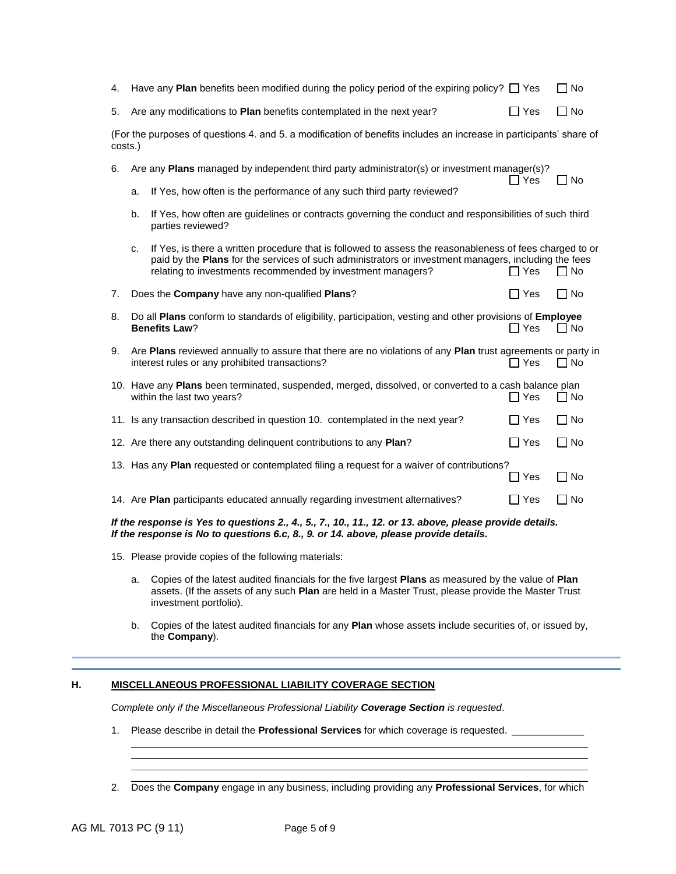| 4.                                                                                                                                                                                              | Have any <b>Plan</b> benefits been modified during the policy period of the expiring policy? $\Box$ Yes                                                                                                                                                                               |               | $\Box$ No |  |
|-------------------------------------------------------------------------------------------------------------------------------------------------------------------------------------------------|---------------------------------------------------------------------------------------------------------------------------------------------------------------------------------------------------------------------------------------------------------------------------------------|---------------|-----------|--|
| 5.                                                                                                                                                                                              | Are any modifications to Plan benefits contemplated in the next year?                                                                                                                                                                                                                 | $\Box$ Yes    | $\Box$ No |  |
| (For the purposes of questions 4. and 5. a modification of benefits includes an increase in participants' share of<br>costs.)                                                                   |                                                                                                                                                                                                                                                                                       |               |           |  |
| 6.                                                                                                                                                                                              | Are any Plans managed by independent third party administrator(s) or investment manager(s)?                                                                                                                                                                                           | $\Box$ Yes    | l INo     |  |
|                                                                                                                                                                                                 | If Yes, how often is the performance of any such third party reviewed?<br>a.                                                                                                                                                                                                          |               |           |  |
|                                                                                                                                                                                                 | If Yes, how often are guidelines or contracts governing the conduct and responsibilities of such third<br>b.<br>parties reviewed?                                                                                                                                                     |               |           |  |
|                                                                                                                                                                                                 | If Yes, is there a written procedure that is followed to assess the reasonableness of fees charged to or<br>c.<br>paid by the Plans for the services of such administrators or investment managers, including the fees<br>relating to investments recommended by investment managers? | ∏ Yes         | $\Box$ No |  |
| 7.                                                                                                                                                                                              | Does the Company have any non-qualified Plans?                                                                                                                                                                                                                                        | $\Box$ Yes    | $\Box$ No |  |
| 8.                                                                                                                                                                                              | Do all Plans conform to standards of eligibility, participation, vesting and other provisions of Employee<br><b>Benefits Law?</b>                                                                                                                                                     | □ Yes         | $\Box$ No |  |
| 9.                                                                                                                                                                                              | Are Plans reviewed annually to assure that there are no violations of any Plan trust agreements or party in<br>interest rules or any prohibited transactions?                                                                                                                         | ∃ Yes         | □ No      |  |
| 10. Have any Plans been terminated, suspended, merged, dissolved, or converted to a cash balance plan<br>$\Box$ No<br>within the last two years?<br>∏ Yes                                       |                                                                                                                                                                                                                                                                                       |               |           |  |
|                                                                                                                                                                                                 | 11. Is any transaction described in question 10. contemplated in the next year?                                                                                                                                                                                                       | $\Box$ Yes    | $\Box$ No |  |
|                                                                                                                                                                                                 | 12. Are there any outstanding delinquent contributions to any Plan?                                                                                                                                                                                                                   | $\Box$ Yes    | $\Box$ No |  |
|                                                                                                                                                                                                 | 13. Has any <b>Plan</b> requested or contemplated filing a request for a waiver of contributions?                                                                                                                                                                                     | ∩ Yes         | $\Box$ No |  |
|                                                                                                                                                                                                 | 14. Are Plan participants educated annually regarding investment alternatives?                                                                                                                                                                                                        | $\square$ Yes | $\Box$ No |  |
| If the response is Yes to questions 2., 4., 5., 7., 10., 11., 12. or 13. above, please provide details.<br>If the response is No to questions 6.c, 8., 9. or 14. above, please provide details. |                                                                                                                                                                                                                                                                                       |               |           |  |

- 15. Please provide copies of the following materials:
	- a. Copies of the latest audited financials for the five largest **Plans** as measured by the value of **Plan**  assets. (If the assets of any such **Plan** are held in a Master Trust, please provide the Master Trust investment portfolio).
	- b. Copies of the latest audited financials for any **Plan** whose assets **i**nclude securities of, or issued by, the **Company**).

# **H. MISCELLANEOUS PROFESSIONAL LIABILITY COVERAGE SECTION**

*Complete only if the Miscellaneous Professional Liability Coverage Section is requested*.

- 1. Please describe in detail the **Professional Services** for which coverage is requested. \_\_\_\_\_\_\_\_\_\_\_\_\_
- 2. Does the **Company** engage in any business, including providing any **Professional Services**, for which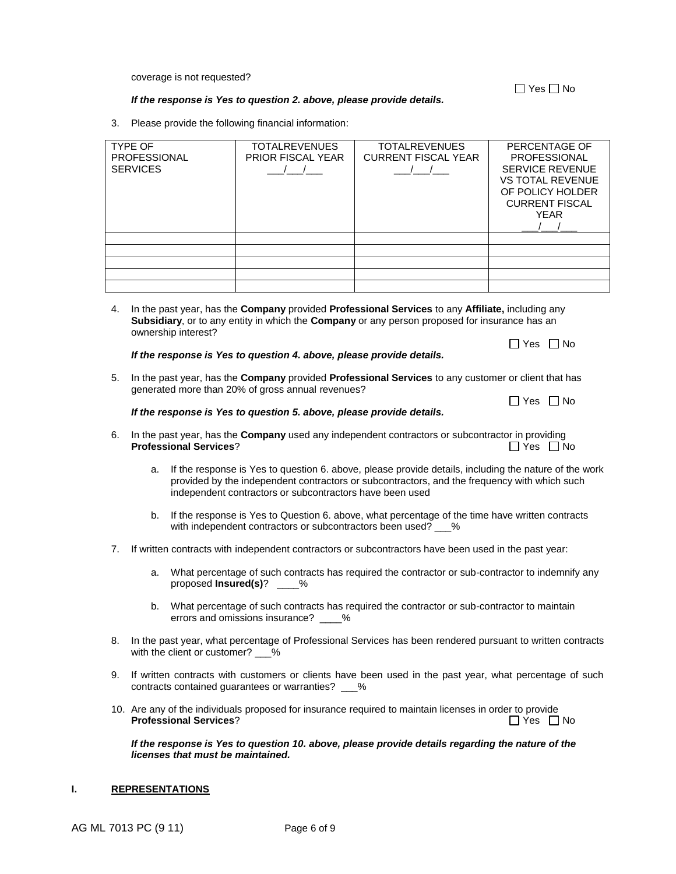coverage is not requested?

 $\Box$  Yes  $\Box$  No

#### *If the response is Yes to question 2. above, please provide details.*

3. Please provide the following financial information:

| <b>TYPE OF</b><br><b>PROFESSIONAL</b><br><b>SERVICES</b> | <b>TOTALREVENUES</b><br><b>PRIOR FISCAL YEAR</b> | <b>TOTALREVENUES</b><br><b>CURRENT FISCAL YEAR</b> | PERCENTAGE OF<br><b>PROFESSIONAL</b><br><b>SERVICE REVENUE</b><br><b>VS TOTAL REVENUE</b><br>OF POLICY HOLDER |
|----------------------------------------------------------|--------------------------------------------------|----------------------------------------------------|---------------------------------------------------------------------------------------------------------------|
|                                                          |                                                  |                                                    | <b>CURRENT FISCAL</b><br><b>YEAR</b>                                                                          |
|                                                          |                                                  |                                                    |                                                                                                               |
|                                                          |                                                  |                                                    |                                                                                                               |
|                                                          |                                                  |                                                    |                                                                                                               |
|                                                          |                                                  |                                                    |                                                                                                               |
|                                                          |                                                  |                                                    |                                                                                                               |
|                                                          |                                                  |                                                    |                                                                                                               |

4. In the past year, has the **Company** provided **Professional Services** to any **Affiliate,** including any **Subsidiary**, or to any entity in which the **Company** or any person proposed for insurance has an ownership interest?

*If the response is Yes to question 4. above, please provide details.* 

5. In the past year, has the **Company** provided **Professional Services** to any customer or client that has generated more than 20% of gross annual revenues?

| $\Box$ Yes $\Box$ No |  |  |  |
|----------------------|--|--|--|
|----------------------|--|--|--|

 $\Box$  Yes  $\Box$  No

#### *If the response is Yes to question 5. above, please provide details.*

- 6. In the past year, has the **Company** used any independent contractors or subcontractor in providing **Professional Services?** Yes No Material Services in the service of the service of the service of the service of the service of the service of the service of the service of the service of the service of the service of the
	- a. If the response is Yes to question 6. above, please provide details, including the nature of the work provided by the independent contractors or subcontractors, and the frequency with which such independent contractors or subcontractors have been used
	- b. If the response is Yes to Question 6. above, what percentage of the time have written contracts with independent contractors or subcontractors been used? \_\_\_%
- 7. If written contracts with independent contractors or subcontractors have been used in the past year:
	- a. What percentage of such contracts has required the contractor or sub-contractor to indemnify any proposed **Insured(s)**? \_\_\_\_%
	- b. What percentage of such contracts has required the contractor or sub-contractor to maintain errors and omissions insurance? \_\_\_\_%
- 8. In the past year, what percentage of Professional Services has been rendered pursuant to written contracts with the client or customer? %
- 9. If written contracts with customers or clients have been used in the past year, what percentage of such contracts contained guarantees or warranties? \_\_\_%
- 10. Are any of the individuals proposed for insurance required to maintain licenses in order to provide **Professional Services?** Yes No and Services and Services of No. 2009 No. 2012 No. 2012 No. 2012 No. 2012 No. 2013

*If the response is Yes to question 10. above, please provide details regarding the nature of the licenses that must be maintained.*

### **I. REPRESENTATIONS**

AG ML 7013 PC (9 11) Page 6 of 9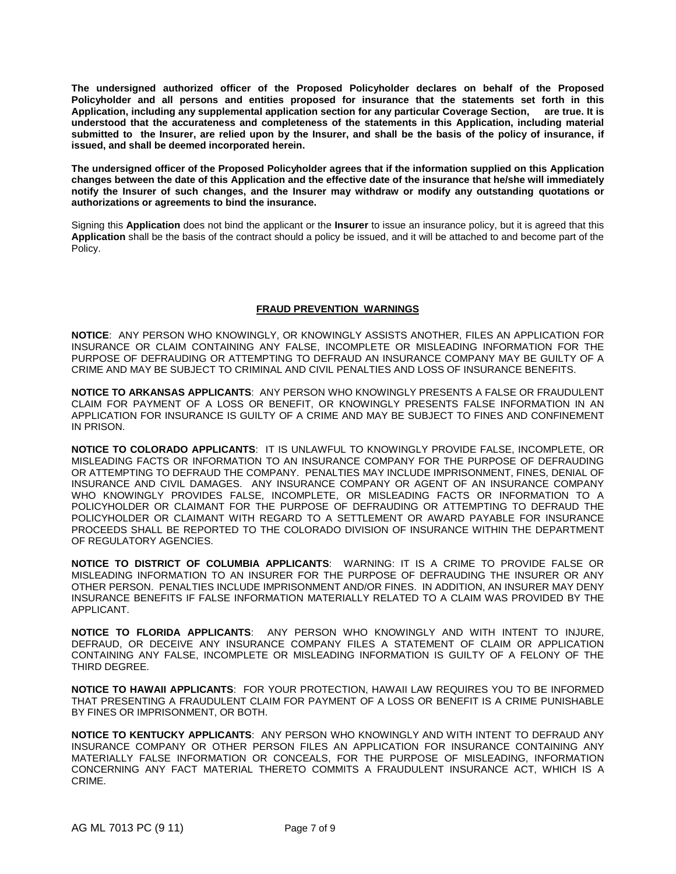**The undersigned authorized officer of the Proposed Policyholder declares on behalf of the Proposed Policyholder and all persons and entities proposed for insurance that the statements set forth in this Application, including any supplemental application section for any particular Coverage Section, are true. It is understood that the accurateness and completeness of the statements in this Application, including material submitted to the Insurer, are relied upon by the Insurer, and shall be the basis of the policy of insurance, if issued, and shall be deemed incorporated herein.** 

**The undersigned officer of the Proposed Policyholder agrees that if the information supplied on this Application changes between the date of this Application and the effective date of the insurance that he/she will immediately notify the Insurer of such changes, and the Insurer may withdraw or modify any outstanding quotations or authorizations or agreements to bind the insurance.** 

Signing this **Application** does not bind the applicant or the **Insurer** to issue an insurance policy, but it is agreed that this **Application** shall be the basis of the contract should a policy be issued, and it will be attached to and become part of the Policy.

## **FRAUD PREVENTION WARNINGS**

**NOTICE**: ANY PERSON WHO KNOWINGLY, OR KNOWINGLY ASSISTS ANOTHER, FILES AN APPLICATION FOR INSURANCE OR CLAIM CONTAINING ANY FALSE, INCOMPLETE OR MISLEADING INFORMATION FOR THE PURPOSE OF DEFRAUDING OR ATTEMPTING TO DEFRAUD AN INSURANCE COMPANY MAY BE GUILTY OF A CRIME AND MAY BE SUBJECT TO CRIMINAL AND CIVIL PENALTIES AND LOSS OF INSURANCE BENEFITS.

**NOTICE TO ARKANSAS APPLICANTS**: ANY PERSON WHO KNOWINGLY PRESENTS A FALSE OR FRAUDULENT CLAIM FOR PAYMENT OF A LOSS OR BENEFIT, OR KNOWINGLY PRESENTS FALSE INFORMATION IN AN APPLICATION FOR INSURANCE IS GUILTY OF A CRIME AND MAY BE SUBJECT TO FINES AND CONFINEMENT IN PRISON.

**NOTICE TO COLORADO APPLICANTS**: IT IS UNLAWFUL TO KNOWINGLY PROVIDE FALSE, INCOMPLETE, OR MISLEADING FACTS OR INFORMATION TO AN INSURANCE COMPANY FOR THE PURPOSE OF DEFRAUDING OR ATTEMPTING TO DEFRAUD THE COMPANY. PENALTIES MAY INCLUDE IMPRISONMENT, FINES, DENIAL OF INSURANCE AND CIVIL DAMAGES. ANY INSURANCE COMPANY OR AGENT OF AN INSURANCE COMPANY WHO KNOWINGLY PROVIDES FALSE, INCOMPLETE, OR MISLEADING FACTS OR INFORMATION TO A POLICYHOLDER OR CLAIMANT FOR THE PURPOSE OF DEFRAUDING OR ATTEMPTING TO DEFRAUD THE POLICYHOLDER OR CLAIMANT WITH REGARD TO A SETTLEMENT OR AWARD PAYABLE FOR INSURANCE PROCEEDS SHALL BE REPORTED TO THE COLORADO DIVISION OF INSURANCE WITHIN THE DEPARTMENT OF REGULATORY AGENCIES.

**NOTICE TO DISTRICT OF COLUMBIA APPLICANTS**: WARNING: IT IS A CRIME TO PROVIDE FALSE OR MISLEADING INFORMATION TO AN INSURER FOR THE PURPOSE OF DEFRAUDING THE INSURER OR ANY OTHER PERSON. PENALTIES INCLUDE IMPRISONMENT AND/OR FINES. IN ADDITION, AN INSURER MAY DENY INSURANCE BENEFITS IF FALSE INFORMATION MATERIALLY RELATED TO A CLAIM WAS PROVIDED BY THE APPLICANT.

**NOTICE TO FLORIDA APPLICANTS**: ANY PERSON WHO KNOWINGLY AND WITH INTENT TO INJURE, DEFRAUD, OR DECEIVE ANY INSURANCE COMPANY FILES A STATEMENT OF CLAIM OR APPLICATION CONTAINING ANY FALSE, INCOMPLETE OR MISLEADING INFORMATION IS GUILTY OF A FELONY OF THE THIRD DEGREE.

**NOTICE TO HAWAII APPLICANTS**: FOR YOUR PROTECTION, HAWAII LAW REQUIRES YOU TO BE INFORMED THAT PRESENTING A FRAUDULENT CLAIM FOR PAYMENT OF A LOSS OR BENEFIT IS A CRIME PUNISHABLE BY FINES OR IMPRISONMENT, OR BOTH.

**NOTICE TO KENTUCKY APPLICANTS**: ANY PERSON WHO KNOWINGLY AND WITH INTENT TO DEFRAUD ANY INSURANCE COMPANY OR OTHER PERSON FILES AN APPLICATION FOR INSURANCE CONTAINING ANY MATERIALLY FALSE INFORMATION OR CONCEALS, FOR THE PURPOSE OF MISLEADING, INFORMATION CONCERNING ANY FACT MATERIAL THERETO COMMITS A FRAUDULENT INSURANCE ACT, WHICH IS A CRIME.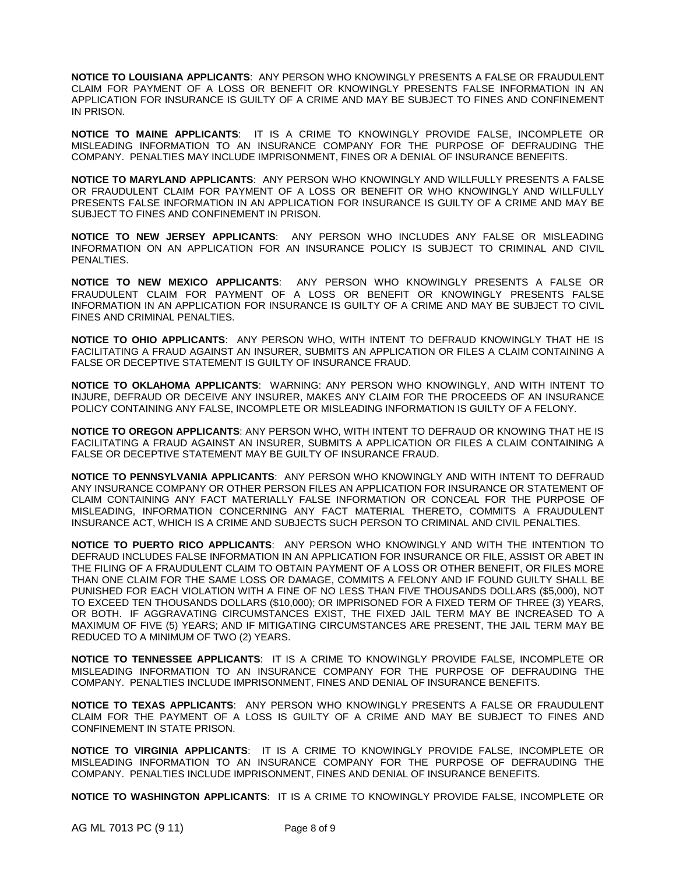**NOTICE TO LOUISIANA APPLICANTS**: ANY PERSON WHO KNOWINGLY PRESENTS A FALSE OR FRAUDULENT CLAIM FOR PAYMENT OF A LOSS OR BENEFIT OR KNOWINGLY PRESENTS FALSE INFORMATION IN AN APPLICATION FOR INSURANCE IS GUILTY OF A CRIME AND MAY BE SUBJECT TO FINES AND CONFINEMENT IN PRISON.

**NOTICE TO MAINE APPLICANTS**: IT IS A CRIME TO KNOWINGLY PROVIDE FALSE, INCOMPLETE OR MISLEADING INFORMATION TO AN INSURANCE COMPANY FOR THE PURPOSE OF DEFRAUDING THE COMPANY. PENALTIES MAY INCLUDE IMPRISONMENT, FINES OR A DENIAL OF INSURANCE BENEFITS.

**NOTICE TO MARYLAND APPLICANTS**: ANY PERSON WHO KNOWINGLY AND WILLFULLY PRESENTS A FALSE OR FRAUDULENT CLAIM FOR PAYMENT OF A LOSS OR BENEFIT OR WHO KNOWINGLY AND WILLFULLY PRESENTS FALSE INFORMATION IN AN APPLICATION FOR INSURANCE IS GUILTY OF A CRIME AND MAY BE SUBJECT TO FINES AND CONFINEMENT IN PRISON.

**NOTICE TO NEW JERSEY APPLICANTS**: ANY PERSON WHO INCLUDES ANY FALSE OR MISLEADING INFORMATION ON AN APPLICATION FOR AN INSURANCE POLICY IS SUBJECT TO CRIMINAL AND CIVIL PENALTIES.

**NOTICE TO NEW MEXICO APPLICANTS**: ANY PERSON WHO KNOWINGLY PRESENTS A FALSE OR FRAUDULENT CLAIM FOR PAYMENT OF A LOSS OR BENEFIT OR KNOWINGLY PRESENTS FALSE INFORMATION IN AN APPLICATION FOR INSURANCE IS GUILTY OF A CRIME AND MAY BE SUBJECT TO CIVIL FINES AND CRIMINAL PENALTIES.

**NOTICE TO OHIO APPLICANTS**: ANY PERSON WHO, WITH INTENT TO DEFRAUD KNOWINGLY THAT HE IS FACILITATING A FRAUD AGAINST AN INSURER, SUBMITS AN APPLICATION OR FILES A CLAIM CONTAINING A FALSE OR DECEPTIVE STATEMENT IS GUILTY OF INSURANCE FRAUD.

**NOTICE TO OKLAHOMA APPLICANTS**: WARNING: ANY PERSON WHO KNOWINGLY, AND WITH INTENT TO INJURE, DEFRAUD OR DECEIVE ANY INSURER, MAKES ANY CLAIM FOR THE PROCEEDS OF AN INSURANCE POLICY CONTAINING ANY FALSE, INCOMPLETE OR MISLEADING INFORMATION IS GUILTY OF A FELONY.

**NOTICE TO OREGON APPLICANTS**: ANY PERSON WHO, WITH INTENT TO DEFRAUD OR KNOWING THAT HE IS FACILITATING A FRAUD AGAINST AN INSURER, SUBMITS A APPLICATION OR FILES A CLAIM CONTAINING A FALSE OR DECEPTIVE STATEMENT MAY BE GUILTY OF INSURANCE FRAUD.

**NOTICE TO PENNSYLVANIA APPLICANTS**: ANY PERSON WHO KNOWINGLY AND WITH INTENT TO DEFRAUD ANY INSURANCE COMPANY OR OTHER PERSON FILES AN APPLICATION FOR INSURANCE OR STATEMENT OF CLAIM CONTAINING ANY FACT MATERIALLY FALSE INFORMATION OR CONCEAL FOR THE PURPOSE OF MISLEADING, INFORMATION CONCERNING ANY FACT MATERIAL THERETO, COMMITS A FRAUDULENT INSURANCE ACT, WHICH IS A CRIME AND SUBJECTS SUCH PERSON TO CRIMINAL AND CIVIL PENALTIES.

**NOTICE TO PUERTO RICO APPLICANTS**: ANY PERSON WHO KNOWINGLY AND WITH THE INTENTION TO DEFRAUD INCLUDES FALSE INFORMATION IN AN APPLICATION FOR INSURANCE OR FILE, ASSIST OR ABET IN THE FILING OF A FRAUDULENT CLAIM TO OBTAIN PAYMENT OF A LOSS OR OTHER BENEFIT, OR FILES MORE THAN ONE CLAIM FOR THE SAME LOSS OR DAMAGE, COMMITS A FELONY AND IF FOUND GUILTY SHALL BE PUNISHED FOR EACH VIOLATION WITH A FINE OF NO LESS THAN FIVE THOUSANDS DOLLARS (\$5,000), NOT TO EXCEED TEN THOUSANDS DOLLARS (\$10,000); OR IMPRISONED FOR A FIXED TERM OF THREE (3) YEARS, OR BOTH. IF AGGRAVATING CIRCUMSTANCES EXIST, THE FIXED JAIL TERM MAY BE INCREASED TO A MAXIMUM OF FIVE (5) YEARS; AND IF MITIGATING CIRCUMSTANCES ARE PRESENT, THE JAIL TERM MAY BE REDUCED TO A MINIMUM OF TWO (2) YEARS.

**NOTICE TO TENNESSEE APPLICANTS**: IT IS A CRIME TO KNOWINGLY PROVIDE FALSE, INCOMPLETE OR MISLEADING INFORMATION TO AN INSURANCE COMPANY FOR THE PURPOSE OF DEFRAUDING THE COMPANY. PENALTIES INCLUDE IMPRISONMENT, FINES AND DENIAL OF INSURANCE BENEFITS.

**NOTICE TO TEXAS APPLICANTS**: ANY PERSON WHO KNOWINGLY PRESENTS A FALSE OR FRAUDULENT CLAIM FOR THE PAYMENT OF A LOSS IS GUILTY OF A CRIME AND MAY BE SUBJECT TO FINES AND CONFINEMENT IN STATE PRISON.

**NOTICE TO VIRGINIA APPLICANTS**: IT IS A CRIME TO KNOWINGLY PROVIDE FALSE, INCOMPLETE OR MISLEADING INFORMATION TO AN INSURANCE COMPANY FOR THE PURPOSE OF DEFRAUDING THE COMPANY. PENALTIES INCLUDE IMPRISONMENT, FINES AND DENIAL OF INSURANCE BENEFITS.

**NOTICE TO WASHINGTON APPLICANTS**: IT IS A CRIME TO KNOWINGLY PROVIDE FALSE, INCOMPLETE OR